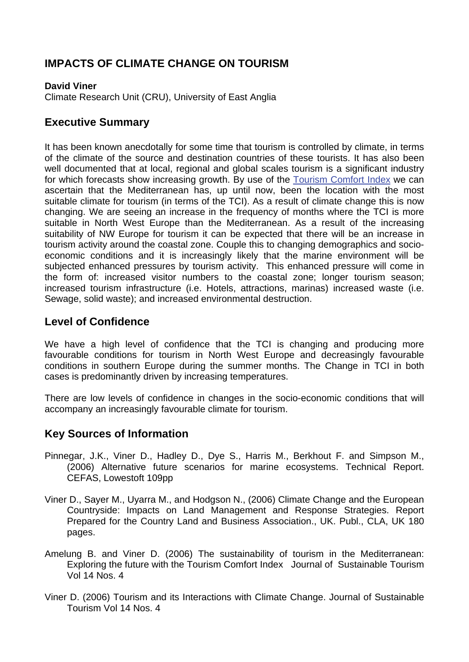# **IMPACTS OF CLIMATE CHANGE ON TOURISM**

#### **David Viner**

Climate Research Unit (CRU), University of East Anglia

### **Executive Summary**

It has been known anecdotally for some time that tourism is controlled by climate, in terms of the climate of the source and destination countries of these tourists. It has also been well documented that at local, regional and global scales tourism is a significant industry for which forecasts show increasing growth. By use of the [Tourism Comfort Index](http://www.mccip.org.uk/arc/glossary.htm) we can ascertain that the Mediterranean has, up until now, been the location with the most suitable climate for tourism (in terms of the TCI). As a result of climate change this is now changing. We are seeing an increase in the frequency of months where the TCI is more suitable in North West Europe than the Mediterranean. As a result of the increasing suitability of NW Europe for tourism it can be expected that there will be an increase in tourism activity around the coastal zone. Couple this to changing demographics and socioeconomic conditions and it is increasingly likely that the marine environment will be subjected enhanced pressures by tourism activity. This enhanced pressure will come in the form of: increased visitor numbers to the coastal zone; longer tourism season; increased tourism infrastructure (i.e. Hotels, attractions, marinas) increased waste (i.e. Sewage, solid waste); and increased environmental destruction.

#### **Level of Confidence**

We have a high level of confidence that the TCI is changing and producing more favourable conditions for tourism in North West Europe and decreasingly favourable conditions in southern Europe during the summer months. The Change in TCI in both cases is predominantly driven by increasing temperatures.

There are low levels of confidence in changes in the socio-economic conditions that will accompany an increasingly favourable climate for tourism.

#### **Key Sources of Information**

- Pinnegar, J.K., Viner D., Hadley D., Dye S., Harris M., Berkhout F. and Simpson M., (2006) Alternative future scenarios for marine ecosystems. Technical Report. CEFAS, Lowestoft 109pp
- Viner D., Sayer M., Uyarra M., and Hodgson N., (2006) Climate Change and the European Countryside: Impacts on Land Management and Response Strategies. Report Prepared for the Country Land and Business Association., UK. Publ., CLA, UK 180 pages.
- Amelung B. and Viner D. (2006) The sustainability of tourism in the Mediterranean: Exploring the future with the Tourism Comfort Index Journal of Sustainable Tourism Vol 14 Nos. 4
- Viner D. (2006) Tourism and its Interactions with Climate Change. Journal of Sustainable Tourism Vol 14 Nos. 4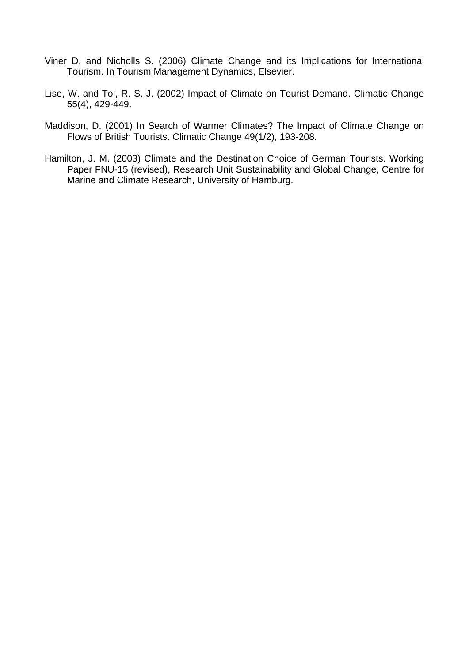- Viner D. and Nicholls S. (2006) Climate Change and its Implications for International Tourism. In Tourism Management Dynamics, Elsevier.
- Lise, W. and Tol, R. S. J. (2002) Impact of Climate on Tourist Demand. Climatic Change 55(4), 429-449.
- Maddison, D. (2001) In Search of Warmer Climates? The Impact of Climate Change on Flows of British Tourists. Climatic Change 49(1/2), 193-208.
- Hamilton, J. M. (2003) Climate and the Destination Choice of German Tourists. Working Paper FNU-15 (revised), Research Unit Sustainability and Global Change, Centre for Marine and Climate Research, University of Hamburg.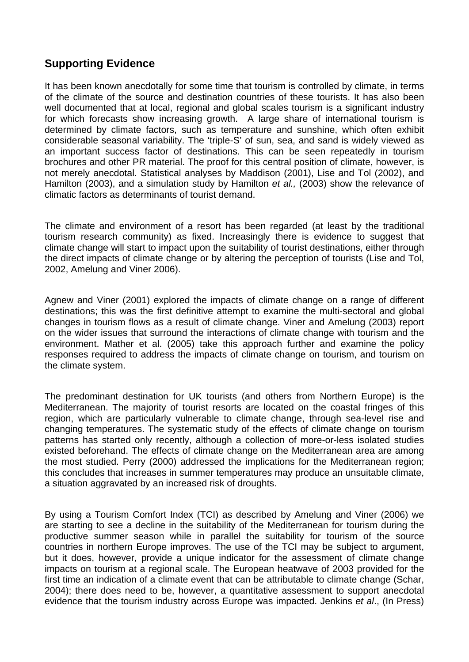## **Supporting Evidence**

It has been known anecdotally for some time that tourism is controlled by climate, in terms of the climate of the source and destination countries of these tourists. It has also been well documented that at local, regional and global scales tourism is a significant industry for which forecasts show increasing growth. A large share of international tourism is determined by climate factors, such as temperature and sunshine, which often exhibit considerable seasonal variability. The 'triple-S' of sun, sea, and sand is widely viewed as an important success factor of destinations. This can be seen repeatedly in tourism brochures and other PR material. The proof for this central position of climate, however, is not merely anecdotal. Statistical analyses by Maddison (2001), Lise and Tol (2002), and Hamilton (2003), and a simulation study by Hamilton *et al.,* (2003) show the relevance of climatic factors as determinants of tourist demand.

The climate and environment of a resort has been regarded (at least by the traditional tourism research community) as fixed. Increasingly there is evidence to suggest that climate change will start to impact upon the suitability of tourist destinations, either through the direct impacts of climate change or by altering the perception of tourists (Lise and Tol, 2002, Amelung and Viner 2006).

Agnew and Viner (2001) explored the impacts of climate change on a range of different destinations; this was the first definitive attempt to examine the multi-sectoral and global changes in tourism flows as a result of climate change. Viner and Amelung (2003) report on the wider issues that surround the interactions of climate change with tourism and the environment. Mather et al. (2005) take this approach further and examine the policy responses required to address the impacts of climate change on tourism, and tourism on the climate system.

The predominant destination for UK tourists (and others from Northern Europe) is the Mediterranean. The majority of tourist resorts are located on the coastal fringes of this region, which are particularly vulnerable to climate change, through sea-level rise and changing temperatures. The systematic study of the effects of climate change on tourism patterns has started only recently, although a collection of more-or-less isolated studies existed beforehand. The effects of climate change on the Mediterranean area are among the most studied. Perry (2000) addressed the implications for the Mediterranean region; this concludes that increases in summer temperatures may produce an unsuitable climate, a situation aggravated by an increased risk of droughts.

By using a Tourism Comfort Index (TCI) as described by Amelung and Viner (2006) we are starting to see a decline in the suitability of the Mediterranean for tourism during the productive summer season while in parallel the suitability for tourism of the source countries in northern Europe improves. The use of the TCI may be subject to argument, but it does, however, provide a unique indicator for the assessment of climate change impacts on tourism at a regional scale. The European heatwave of 2003 provided for the first time an indication of a climate event that can be attributable to climate change (Schar, 2004); there does need to be, however, a quantitative assessment to support anecdotal evidence that the tourism industry across Europe was impacted. Jenkins *et al*., (In Press)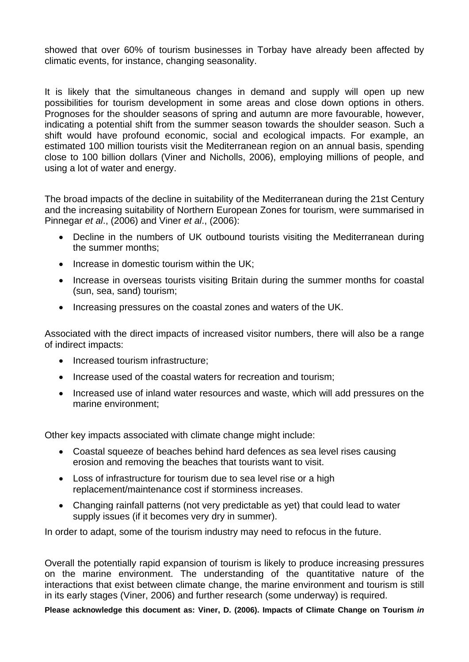showed that over 60% of tourism businesses in Torbay have already been affected by climatic events, for instance, changing seasonality.

It is likely that the simultaneous changes in demand and supply will open up new possibilities for tourism development in some areas and close down options in others. Prognoses for the shoulder seasons of spring and autumn are more favourable, however, indicating a potential shift from the summer season towards the shoulder season. Such a shift would have profound economic, social and ecological impacts. For example, an estimated 100 million tourists visit the Mediterranean region on an annual basis, spending close to 100 billion dollars (Viner and Nicholls, 2006), employing millions of people, and using a lot of water and energy.

The broad impacts of the decline in suitability of the Mediterranean during the 21st Century and the increasing suitability of Northern European Zones for tourism, were summarised in Pinnegar *et al*., (2006) and Viner *et al*., (2006):

- Decline in the numbers of UK outbound tourists visiting the Mediterranean during the summer months;
- Increase in domestic tourism within the UK:
- Increase in overseas tourists visiting Britain during the summer months for coastal (sun, sea, sand) tourism;
- Increasing pressures on the coastal zones and waters of the UK.

Associated with the direct impacts of increased visitor numbers, there will also be a range of indirect impacts:

- Increased tourism infrastructure;
- Increase used of the coastal waters for recreation and tourism:
- Increased use of inland water resources and waste, which will add pressures on the marine environment;

Other key impacts associated with climate change might include:

- Coastal squeeze of beaches behind hard defences as sea level rises causing erosion and removing the beaches that tourists want to visit.
- Loss of infrastructure for tourism due to sea level rise or a high replacement/maintenance cost if storminess increases.
- Changing rainfall patterns (not very predictable as yet) that could lead to water supply issues (if it becomes very dry in summer).

In order to adapt, some of the tourism industry may need to refocus in the future.

Overall the potentially rapid expansion of tourism is likely to produce increasing pressures on the marine environment. The understanding of the quantitative nature of the interactions that exist between climate change, the marine environment and tourism is still in its early stages (Viner, 2006) and further research (some underway) is required.

**Please acknowledge this document as: Viner, D. (2006). Impacts of Climate Change on Tourism** *in*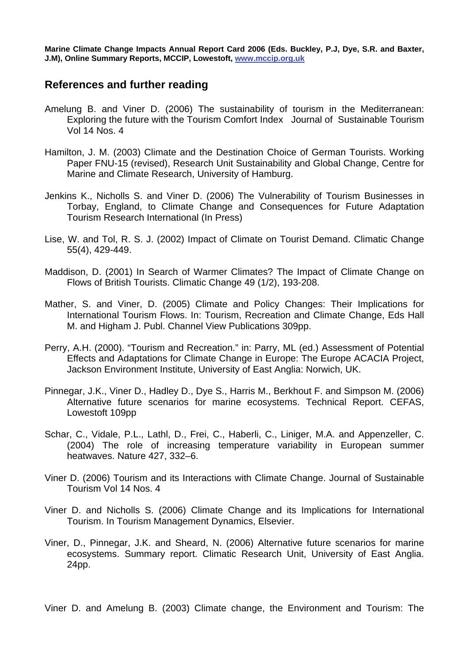**Marine Climate Change Impacts Annual Report Card 2006 (Eds. Buckley, P.J, Dye, S.R. and Baxter, J.M), Online Summary Reports, MCCIP, Lowestoft, [www.mccip.org.uk](http://www.mccip.org.uk/)**

#### **References and further reading**

- Amelung B. and Viner D. (2006) The sustainability of tourism in the Mediterranean: Exploring the future with the Tourism Comfort Index Journal of Sustainable Tourism Vol 14 Nos. 4
- Hamilton, J. M. (2003) Climate and the Destination Choice of German Tourists. Working Paper FNU-15 (revised), Research Unit Sustainability and Global Change, Centre for Marine and Climate Research, University of Hamburg.
- Jenkins K., Nicholls S. and Viner D. (2006) The Vulnerability of Tourism Businesses in Torbay, England, to Climate Change and Consequences for Future Adaptation Tourism Research International (In Press)
- Lise, W. and Tol, R. S. J. (2002) Impact of Climate on Tourist Demand. Climatic Change 55(4), 429-449.
- Maddison, D. (2001) In Search of Warmer Climates? The Impact of Climate Change on Flows of British Tourists. Climatic Change 49 (1/2), 193-208.
- Mather, S. and Viner, D. (2005) Climate and Policy Changes: Their Implications for International Tourism Flows. In: Tourism, Recreation and Climate Change, Eds Hall M. and Higham J. Publ. Channel View Publications 309pp.
- Perry, A.H. (2000). "Tourism and Recreation." in: Parry, ML (ed.) Assessment of Potential Effects and Adaptations for Climate Change in Europe: The Europe ACACIA Project, Jackson Environment Institute, University of East Anglia: Norwich, UK.
- Pinnegar, J.K., Viner D., Hadley D., Dye S., Harris M., Berkhout F. and Simpson M. (2006) Alternative future scenarios for marine ecosystems. Technical Report. CEFAS, Lowestoft 109pp
- Schar, C., Vidale, P.L., Lathl, D., Frei, C., Haberli, C., Liniger, M.A. and Appenzeller, C. (2004) The role of increasing temperature variability in European summer heatwaves. Nature 427, 332–6.
- Viner D. (2006) Tourism and its Interactions with Climate Change. Journal of Sustainable Tourism Vol 14 Nos. 4
- Viner D. and Nicholls S. (2006) Climate Change and its Implications for International Tourism. In Tourism Management Dynamics, Elsevier.
- Viner, D., Pinnegar, J.K. and Sheard, N. (2006) Alternative future scenarios for marine ecosystems. Summary report. Climatic Research Unit, University of East Anglia. 24pp.

Viner D. and Amelung B. (2003) Climate change, the Environment and Tourism: The